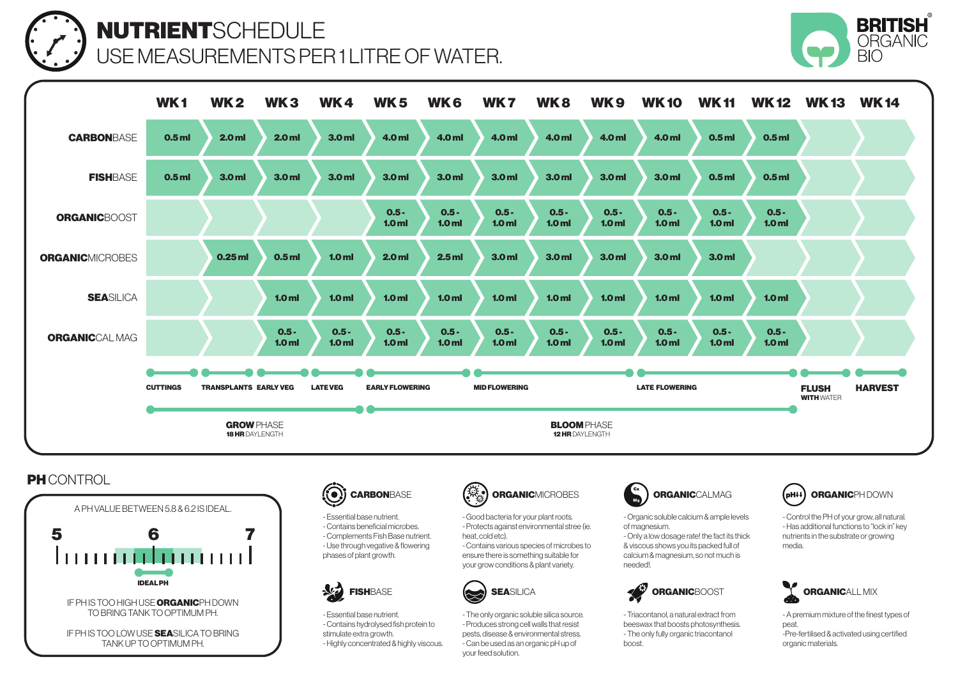

## NUTRIENTSCHEDULE USE MEASUREMENTS PER 1 LITRE OF WATER.



|                        | WK <sub>1</sub>                                                    | <b>WK2</b>       | WK <sub>3</sub>             | WK4                         | <b>WK5</b>                                     | WK <sub>6</sub>             | WK <sub>7</sub>             | WK8                         | WK <sub>9</sub>             | <b>WK10</b>                 | <b>WK11</b>                 | <b>WK 12</b>                | <b>WK13</b>                       | <b>WK14</b>    |
|------------------------|--------------------------------------------------------------------|------------------|-----------------------------|-----------------------------|------------------------------------------------|-----------------------------|-----------------------------|-----------------------------|-----------------------------|-----------------------------|-----------------------------|-----------------------------|-----------------------------------|----------------|
| <b>CARBONBASE</b>      | 0.5 <sub>m</sub>                                                   | 2.0 <sub>m</sub> | 2.0 <sub>m</sub>            | 3.0 <sub>m</sub>            | 4.0 ml                                         | 4.0 ml                      | 4.0 ml                      | 4.0 ml                      | 4.0 ml                      | 4.0 ml                      | 0.5 <sub>m</sub>            | 0.5 <sub>m</sub>            |                                   |                |
| <b>FISHBASE</b>        | 0.5 <sub>m</sub>                                                   | 3.0 <sub>m</sub> | 3.0 <sub>m</sub>            | 3.0 <sub>m</sub>            | 3.0 <sub>m</sub>                               | 3.0 <sub>m</sub>            | 3.0 <sub>m</sub>            | 3.0 <sub>m</sub>            | 3.0 <sub>m</sub>            | 3.0 <sub>m</sub>            | 0.5 <sub>m</sub>            | 0.5 <sub>m</sub>            |                                   |                |
| <b>ORGANICBOOST</b>    |                                                                    |                  |                             |                             | $0.5 -$<br>1.0 <sub>m</sub>                    | $0.5 -$<br>1.0 <sub>m</sub> | $0.5 -$<br>1.0 <sub>m</sub> | $0.5 -$<br>1.0 <sub>m</sub> | $0.5 -$<br>1.0 <sub>m</sub> | $0.5 -$<br>1.0 <sub>m</sub> | $0.5 -$<br>1.0 <sub>m</sub> | $0.5 -$<br>1.0 <sub>m</sub> |                                   |                |
| <b>ORGANICMICROBES</b> |                                                                    | $0.25$ ml        | 0.5 <sub>m</sub>            | 1.0 <sub>m</sub>            | 2.0 <sub>m</sub>                               | 2.5 <sub>m</sub>            | 3.0 <sub>m</sub>            | 3.0 <sub>m</sub>            | 3.0 <sub>m</sub>            | 3.0 <sub>m</sub>            | 3.0 <sub>m</sub>            |                             |                                   |                |
| <b>SEASILICA</b>       |                                                                    |                  | 1.0 <sub>m</sub>            | 1.0 <sub>m</sub>            | 1.0 <sub>m</sub>                               | 1.0 <sub>m</sub>            | 1.0 <sub>m</sub>            | 1.0 <sub>m</sub>            | 1.0 <sub>m</sub>            | 1.0 <sub>m</sub>            | 1.0 <sub>m</sub>            | 1.0 <sub>m</sub>            |                                   |                |
| <b>ORGANIC</b> CAL MAG |                                                                    |                  | $0.5 -$<br>1.0 <sub>m</sub> | $0.5 -$<br>1.0 <sub>m</sub> | $0.5 -$<br>1.0 <sub>m</sub>                    | $0.5 -$<br>1.0 <sub>m</sub> | $0.5 -$<br>1.0 <sub>m</sub> | $0.5 -$<br>1.0 <sub>m</sub> | $0.5 -$<br>1.0 <sub>m</sub> | $0.5 -$<br>1.0 <sub>m</sub> | $0.5 -$<br>1.0 <sub>m</sub> | $0.5 -$<br>1.0 <sub>m</sub> |                                   |                |
|                        | <b>TRANSPLANTS EARLY VEG</b><br><b>CUTTINGS</b><br><b>LATE VEG</b> |                  |                             |                             | <b>EARLY FLOWERING</b><br><b>MID FLOWERING</b> |                             |                             |                             | <b>LATE FLOWERING</b>       |                             |                             |                             | <b>FLUSH</b><br><b>WITH WATER</b> | <b>HARVEST</b> |
|                        | <b>GROW PHASE</b><br><b>18 HR</b> DAYLENGTH                        |                  |                             |                             | <b>BLOOM PHASE</b><br>12 HR DAYLENGTH          |                             |                             |                             |                             |                             |                             |                             |                                   |                |

## **PH** CONTROL





- Essential base nutrient. - Contains beneficial microbes. - Complements Fish Base nutrient. - Use through vegative & flowering phases of plant growth.



- Essential base nutrient. - Contains hydrolysed fish protein to stimulate extra growth. - Highly concentrated & highly viscous.



- Good bacteria for your plant roots. - Protects against environmental stree (ie. heat, cold etc). - Contains various species of microbes to ensure there is something suitable for your grow conditions & plant variety.



- The only organic soluble silica source. - Produces strong cell walls that resist pests, disease & environmental stress. - Can be used as an organic pH up of your feed solution.



- Organic soluble calcium & ample levels of magnesium. - Only a low dosage rate! the fact its thick & viscous shows you its packed full of calcium & magnesium, so not much is needed!.

FISHBASE (SEASILICA CONTROLS) SEASILICA

- Triacontanol, a natural extract from beeswax that boosts photosynthesis. - The only fully organic triacontanol boost.



- Control the PH of your grow, all natural. - Has additional functions to "lock in" key nutrients in the substrate or growing media.



- A premium mixture of the finest types of peat. -Pre-fertilised & activated using certified organic materials.